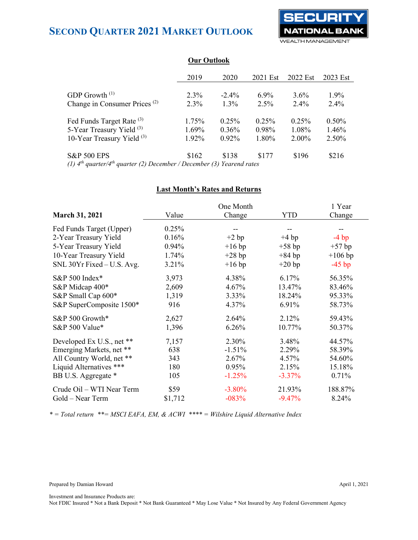

|                                                                                 | 2019     | 2020     | 2021 Est | 2022 Est | 2023 Est |
|---------------------------------------------------------------------------------|----------|----------|----------|----------|----------|
|                                                                                 |          |          |          |          |          |
| GDP Growth $(1)$                                                                | $2.3\%$  | $-2.4\%$ | $6.9\%$  | $3.6\%$  | $1.9\%$  |
| Change in Consumer Prices <sup>(2)</sup>                                        | $2.3\%$  | $1.3\%$  | $2.5\%$  | $2.4\%$  | $2.4\%$  |
| Fed Funds Target Rate <sup>(3)</sup>                                            | 1.75%    | 0.25%    | 0.25%    | $0.25\%$ | 0.50%    |
| 5-Year Treasury Yield <sup>(3)</sup>                                            | $1.69\%$ | $0.36\%$ | $0.98\%$ | 1.08%    | 1.46%    |
| 10-Year Treasury Yield $(3)$                                                    | 1.92%    | $0.92\%$ | 1.80%    | $2.00\%$ | 2.50%    |
| <b>S&amp;P 500 EPS</b>                                                          | \$162    | \$138    | \$177    | \$196    | \$216    |
| (1) $A^{th}$ quarter $A^{th}$ quarter (2) December (December (3) Vegreend rates |          |          |          |          |          |

### **Our Outlook**

*(1) 4th quarter/4th quarter (2) December / December (3) Yearend rates*

### **Last Month's Rates and Returns**

|                            |         | One Month |            | 1 Year    |
|----------------------------|---------|-----------|------------|-----------|
| <b>March 31, 2021</b>      | Value   | Change    | <b>YTD</b> | Change    |
| Fed Funds Target (Upper)   | 0.25%   |           |            |           |
| 2-Year Treasury Yield      | 0.16%   | $+2 bp$   | $+4 bp$    | $-4$ bp   |
| 5-Year Treasury Yield      | 0.94%   | $+16$ bp  | $+58$ bp   | $+57$ bp  |
| 10-Year Treasury Yield     | 1.74%   | $+28$ bp  | $+84$ bp   | $+106$ bp |
| SNL 30Yr Fixed - U.S. Avg. | 3.21%   | $+16$ bp  | $+20$ bp   | $-45$ bp  |
| S&P 500 Index*             | 3,973   | 4.38%     | 6.17%      | 56.35%    |
| S&P Midcap 400*            | 2,609   | 4.67%     | 13.47%     | 83.46%    |
| S&P Small Cap 600*         | 1,319   | 3.33%     | 18.24%     | 95.33%    |
| S&P SuperComposite 1500*   | 916     | 4.37%     | 6.91%      | 58.73%    |
| S&P 500 Growth*            | 2,627   | 2.64%     | 2.12%      | 59.43%    |
| S&P 500 Value*             | 1,396   | 6.26%     | 10.77%     | 50.37%    |
| Developed Ex U.S., net **  | 7,157   | 2.30%     | 3.48%      | 44.57%    |
| Emerging Markets, net **   | 638     | $-1.51%$  | 2.29%      | 58.39%    |
| All Country World, net **  | 343     | 2.67%     | 4.57%      | 54.60%    |
| Liquid Alternatives ***    | 180     | 0.95%     | 2.15%      | 15.18%    |
| BB U.S. Aggregate *        | 105     | $-1.25%$  | $-3.37\%$  | 0.71%     |
| Crude Oil - WTI Near Term  | \$59    | $-3.80%$  | 21.93%     | 188.87%   |
| Gold – Near Term           | \$1,712 | $-083%$   | $-9.47%$   | 8.24%     |

*\* = Total return \*\*= MSCI EAFA, EM, & ACWI \*\*\*\* = Wilshire Liquid Alternative Index*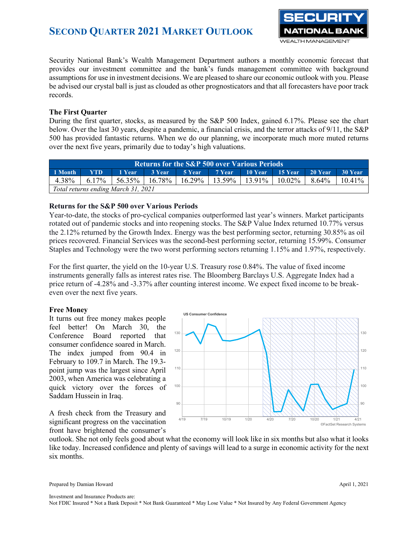

Security National Bank's Wealth Management Department authors a monthly economic forecast that provides our investment committee and the bank's funds management committee with background assumptions for use in investment decisions. We are pleased to share our economic outlook with you. Please be advised our crystal ball is just as clouded as other prognosticators and that all forecasters have poor track records.

### **The First Quarter**

During the first quarter, stocks, as measured by the S&P 500 Index, gained 6.17%. Please see the chart below. Over the last 30 years, despite a pandemic, a financial crisis, and the terror attacks of 9/11, the S&P 500 has provided fantastic returns. When we do our planning, we incorporate much more muted returns over the next five years, primarily due to today's high valuations.

| <b>Returns for the S&amp;P 500 over Various Periods</b> |            |                                                                                         |  |  |  |  |                                      |                   |  |
|---------------------------------------------------------|------------|-----------------------------------------------------------------------------------------|--|--|--|--|--------------------------------------|-------------------|--|
| 1 Month                                                 | <b>YTD</b> | 1 Year                                                                                  |  |  |  |  | 3 Year 5 Year 7 Year 10 Year 15 Year | 20 Year   30 Year |  |
|                                                         |            | $4.38\%$   6.17%   56.35%   16.78%   16.29%   13.59%   13.91%   10.02%   8.64%   10.41% |  |  |  |  |                                      |                   |  |
|                                                         |            | Total returns ending March 31, 2021                                                     |  |  |  |  |                                      |                   |  |

### **Returns for the S&P 500 over Various Periods**

Year-to-date, the stocks of pro-cyclical companies outperformed last year's winners. Market participants rotated out of pandemic stocks and into reopening stocks. The S&P Value Index returned 10.77% versus the 2.12% returned by the Growth Index. Energy was the best performing sector, returning 30.85% as oil prices recovered. Financial Services was the second-best performing sector, returning 15.99%. Consumer Staples and Technology were the two worst performing sectors returning 1.15% and 1.97%, respectively.

For the first quarter, the yield on the 10-year U.S. Treasury rose 0.84%. The value of fixed income instruments generally falls as interest rates rise. The Bloomberg Barclays U.S. Aggregate Index had a price return of -4.28% and -3.37% after counting interest income. We expect fixed income to be breakeven over the next five years.

### **Free Money**

It turns out free money makes people feel better! On March 30, the Conference Board reported that consumer confidence soared in March. The index jumped from 90.4 in February to 109.7 in March. The 19.3 point jump was the largest since April 2003, when America was celebrating a quick victory over the forces of Saddam Hussein in Iraq.

A fresh check from the Treasury and significant progress on the vaccination front have brightened the consumer's



outlook. She not only feels good about what the economy will look like in six months but also what it looks like today. Increased confidence and plenty of savings will lead to a surge in economic activity for the next six months.

Prepared by Damian Howard April 1, 2021

Investment and Insurance Products are: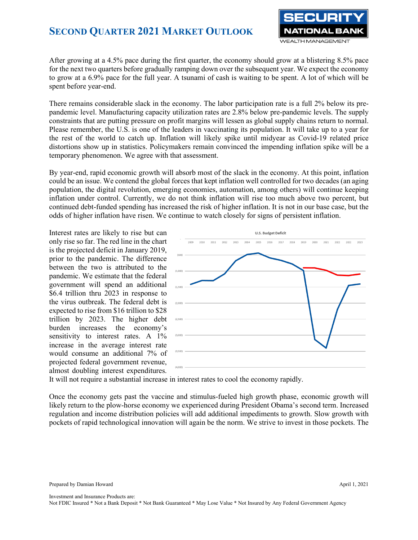

After growing at a 4.5% pace during the first quarter, the economy should grow at a blistering 8.5% pace for the next two quarters before gradually ramping down over the subsequent year. We expect the economy to grow at a 6.9% pace for the full year. A tsunami of cash is waiting to be spent. A lot of which will be spent before year-end.

There remains considerable slack in the economy. The labor participation rate is a full 2% below its prepandemic level. Manufacturing capacity utilization rates are 2.8% below pre-pandemic levels. The supply constraints that are putting pressure on profit margins will lessen as global supply chains return to normal. Please remember, the U.S. is one of the leaders in vaccinating its population. It will take up to a year for the rest of the world to catch up. Inflation will likely spike until midyear as Covid-19 related price distortions show up in statistics. Policymakers remain convinced the impending inflation spike will be a temporary phenomenon. We agree with that assessment.

By year-end, rapid economic growth will absorb most of the slack in the economy. At this point, inflation could be an issue. We contend the global forces that kept inflation well controlled for two decades (an aging population, the digital revolution, emerging economies, automation, among others) will continue keeping inflation under control. Currently, we do not think inflation will rise too much above two percent, but continued debt-funded spending has increased the risk of higher inflation. It is not in our base case, but the odds of higher inflation have risen. We continue to watch closely for signs of persistent inflation.

Interest rates are likely to rise but can only rise so far. The red line in the chart is the projected deficit in January 2019, prior to the pandemic. The difference between the two is attributed to the pandemic. We estimate that the federal government will spend an additional \$6.4 trillion thru 2023 in response to the virus outbreak. The federal debt is expected to rise from \$16 trillion to \$28 trillion by 2023. The higher debt burden increases the economy's sensitivity to interest rates. A 1% increase in the average interest rate would consume an additional 7% of projected federal government revenue, almost doubling interest expenditures.



It will not require a substantial increase in interest rates to cool the economy rapidly.

Once the economy gets past the vaccine and stimulus-fueled high growth phase, economic growth will likely return to the plow-horse economy we experienced during President Obama's second term. Increased regulation and income distribution policies will add additional impediments to growth. Slow growth with pockets of rapid technological innovation will again be the norm. We strive to invest in those pockets. The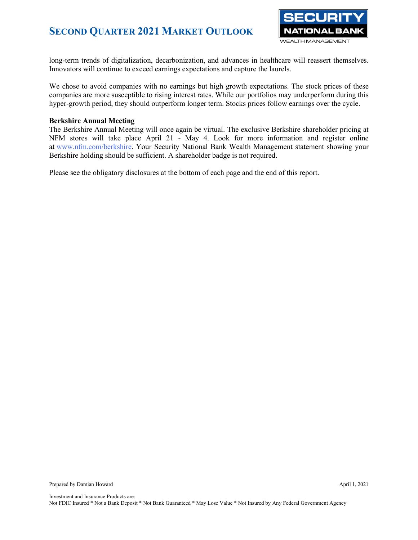

long-term trends of digitalization, decarbonization, and advances in healthcare will reassert themselves. Innovators will continue to exceed earnings expectations and capture the laurels.

We chose to avoid companies with no earnings but high growth expectations. The stock prices of these companies are more susceptible to rising interest rates. While our portfolios may underperform during this hyper-growth period, they should outperform longer term. Stocks prices follow earnings over the cycle.

### **Berkshire Annual Meeting**

The Berkshire Annual Meeting will once again be virtual. The exclusive Berkshire shareholder pricing at NFM stores will take place April 21 - May 4. Look for more information and register online at [www.nfm.com/berkshire.](http://www.nfm.com/berkshire) Your Security National Bank Wealth Management statement showing your Berkshire holding should be sufficient. A shareholder badge is not required.

Please see the obligatory disclosures at the bottom of each page and the end of this report.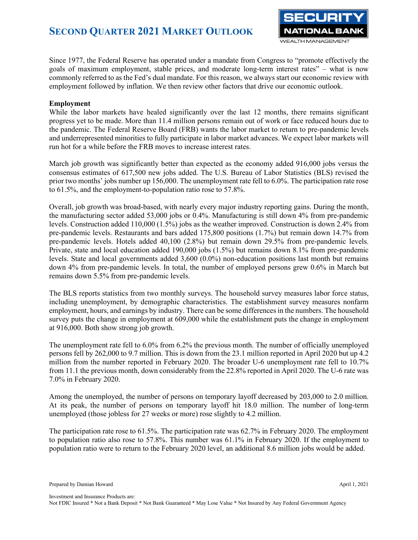

Since 1977, the Federal Reserve has operated under a mandate from Congress to "promote effectively the goals of maximum employment, stable prices, and moderate long-term interest rates" – what is now commonly referred to as the Fed's dual mandate. For this reason, we always start our economic review with employment followed by inflation. We then review other factors that drive our economic outlook.

### **Employment**

While the labor markets have healed significantly over the last 12 months, there remains significant progress yet to be made. More than 11.4 million persons remain out of work or face reduced hours due to the pandemic. The Federal Reserve Board (FRB) wants the labor market to return to pre-pandemic levels and underrepresented minorities to fully participate in labor market advances. We expect labor markets will run hot for a while before the FRB moves to increase interest rates.

March job growth was significantly better than expected as the economy added 916,000 jobs versus the consensus estimates of 617,500 new jobs added. The U.S. Bureau of Labor Statistics (BLS) revised the prior two months' jobs number up 156,000. The unemployment rate fell to 6.0%. The participation rate rose to 61.5%, and the employment-to-population ratio rose to 57.8%.

Overall, job growth was broad-based, with nearly every major industry reporting gains. During the month, the manufacturing sector added 53,000 jobs or 0.4%. Manufacturing is still down 4% from pre-pandemic levels. Construction added 110,000 (1.5%) jobs as the weather improved. Construction is down 2.4% from pre-pandemic levels. Restaurants and bars added 175,800 positions (1.7%) but remain down 14.7% from pre-pandemic levels. Hotels added 40,100 (2.8%) but remain down 29.5% from pre-pandemic levels. Private, state and local education added 190,000 jobs (1.5%) but remains down 8.1% from pre-pandemic levels. State and local governments added 3,600 (0.0%) non-education positions last month but remains down 4% from pre-pandemic levels. In total, the number of employed persons grew 0.6% in March but remains down 5.5% from pre-pandemic levels.

The BLS reports statistics from two monthly surveys. The household survey measures labor force status, including unemployment, by demographic characteristics. The establishment survey measures nonfarm employment, hours, and earnings by industry. There can be some differences in the numbers. The household survey puts the change in employment at 609,000 while the establishment puts the change in employment at 916,000. Both show strong job growth.

The unemployment rate fell to 6.0% from 6.2% the previous month. The number of officially unemployed persons fell by 262,000 to 9.7 million. This is down from the 23.1 million reported in April 2020 but up 4.2 million from the number reported in February 2020. The broader U-6 unemployment rate fell to 10.7% from 11.1 the previous month, down considerably from the 22.8% reported in April 2020. The U-6 rate was 7.0% in February 2020.

Among the unemployed, the number of persons on temporary layoff decreased by 203,000 to 2.0 million. At its peak, the number of persons on temporary layoff hit 18.0 million. The number of long-term unemployed (those jobless for 27 weeks or more) rose slightly to 4.2 million.

The participation rate rose to 61.5%. The participation rate was 62.7% in February 2020. The employment to population ratio also rose to 57.8%. This number was 61.1% in February 2020. If the employment to population ratio were to return to the February 2020 level, an additional 8.6 million jobs would be added.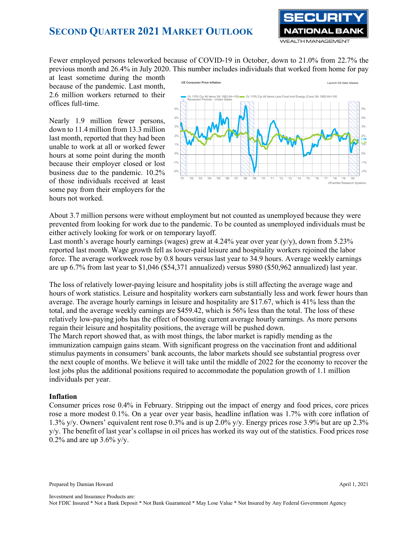

Fewer employed persons teleworked because of COVID-19 in October, down to 21.0% from 22.7% the previous month and 26.4% in July 2020. This number includes individuals that worked from home for pay

at least sometime during the month because of the pandemic. Last month, 2.6 million workers returned to their offices full-time.

Nearly 1.9 million fewer persons, down to 11.4 million from 13.3 million last month, reported that they had been unable to work at all or worked fewer hours at some point during the month because their employer closed or lost business due to the pandemic. 10.2% of those individuals received at least some pay from their employers for the hours not worked.



About 3.7 million persons were without employment but not counted as unemployed because they were prevented from looking for work due to the pandemic. To be counted as unemployed individuals must be either actively looking for work or on temporary layoff.

Last month's average hourly earnings (wages) grew at 4.24% year over year  $(y/y)$ , down from 5.23% reported last month. Wage growth fell as lower-paid leisure and hospitality workers rejoined the labor force. The average workweek rose by 0.8 hours versus last year to 34.9 hours. Average weekly earnings are up 6.7% from last year to \$1,046 (\$54,371 annualized) versus \$980 (\$50,962 annualized) last year.

The loss of relatively lower-paying leisure and hospitality jobs is still affecting the average wage and hours of work statistics. Leisure and hospitality workers earn substantially less and work fewer hours than average. The average hourly earnings in leisure and hospitality are \$17.67, which is 41% less than the total, and the average weekly earnings are \$459.42, which is 56% less than the total. The loss of these relatively low-paying jobs has the effect of boosting current average hourly earnings. As more persons regain their leisure and hospitality positions, the average will be pushed down.

The March report showed that, as with most things, the labor market is rapidly mending as the immunization campaign gains steam. With significant progress on the vaccination front and additional stimulus payments in consumers' bank accounts, the labor markets should see substantial progress over the next couple of months. We believe it will take until the middle of 2022 for the economy to recover the lost jobs plus the additional positions required to accommodate the population growth of 1.1 million individuals per year.

#### **Inflation**

Consumer prices rose 0.4% in February. Stripping out the impact of energy and food prices, core prices rose a more modest 0.1%. On a year over year basis, headline inflation was 1.7% with core inflation of 1.3% y/y. Owners' equivalent rent rose 0.3% and is up 2.0% y/y. Energy prices rose 3.9% but are up 2.3% y/y. The benefit of last year's collapse in oil prices has worked its way out of the statistics. Food prices rose 0.2% and are up  $3.6\%$  y/y.

Prepared by Damian Howard April 1, 2021

Investment and Insurance Products are: Not FDIC Insured \* Not a Bank Deposit \* Not Bank Guaranteed \* May Lose Value \* Not Insured by Any Federal Government Agency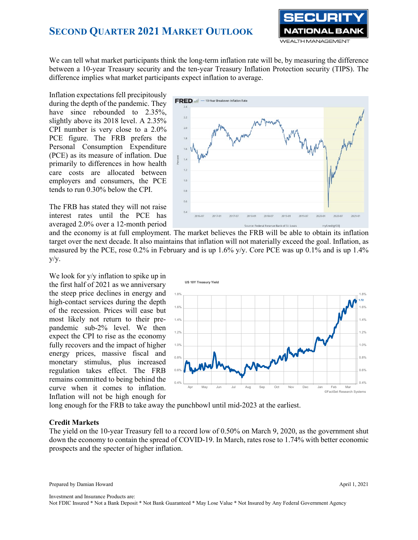

We can tell what market participants think the long-term inflation rate will be, by measuring the difference between a 10-year Treasury security and the ten-year Treasury Inflation Protection security (TIPS). The difference implies what market participants expect inflation to average.

Inflation expectations fell precipitously during the depth of the pandemic. They have since rebounded to 2.35%, slightly above its 2018 level. A 2.35% CPI number is very close to a 2.0% PCE figure. The FRB prefers the Personal Consumption Expenditure (PCE) as its measure of inflation. Due primarily to differences in how health care costs are allocated between employers and consumers, the PCE tends to run 0.30% below the CPI.

The FRB has stated they will not raise interest rates until the PCE has averaged 2.0% over a 12-month period



and the economy is at full employment. The market believes the FRB will be able to obtain its inflation target over the next decade. It also maintains that inflation will not materially exceed the goal. Inflation, as measured by the PCE, rose 0.2% in February and is up  $1.6\%$  y/y. Core PCE was up 0.1% and is up 1.4%  $y/y$ .

We look for y/y inflation to spike up in the first half of 2021 as we anniversary the steep price declines in energy and high-contact services during the depth of the recession. Prices will ease but most likely not return to their prepandemic sub-2% level. We then expect the CPI to rise as the economy fully recovers and the impact of higher energy prices, massive fiscal and monetary stimulus, plus increased regulation takes effect. The FRB remains committed to being behind the curve when it comes to inflation. Inflation will not be high enough for



long enough for the FRB to take away the punchbowl until mid-2023 at the earliest.

#### **Credit Markets**

The yield on the 10-year Treasury fell to a record low of 0.50% on March 9, 2020, as the government shut down the economy to contain the spread of COVID-19. In March, rates rose to 1.74% with better economic prospects and the specter of higher inflation.

Prepared by Damian Howard April 1, 2021

Investment and Insurance Products are: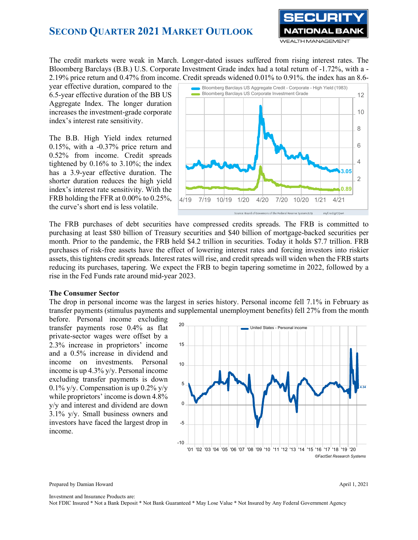

The credit markets were weak in March. Longer-dated issues suffered from rising interest rates. The Bloomberg Barclays (B.B.) U.S. Corporate Investment Grade index had a total return of -1.72%, with a - 2.19% price return and 0.47% from income. Credit spreads widened 0.01% to 0.91%. the index has an 8.6-

year effective duration, compared to the 6.5-year effective duration of the BB US Aggregate Index. The longer duration increases the investment-grade corporate index's interest rate sensitivity.

The B.B. High Yield index returned 0.15%, with a -0.37% price return and 0.52% from income. Credit spreads tightened by 0.16% to 3.10%; the index has a 3.9-year effective duration. The shorter duration reduces the high yield index's interest rate sensitivity. With the FRB holding the FFR at 0.00% to 0.25%, the curve's short end is less volatile.



The FRB purchases of debt securities have compressed credits spreads. The FRB is committed to purchasing at least \$80 billion of Treasury securities and \$40 billion of mortgage-backed securities per month. Prior to the pandemic, the FRB held \$4.2 trillion in securities. Today it holds \$7.7 trillion. FRB purchases of risk-free assets have the effect of lowering interest rates and forcing investors into riskier assets, this tightens credit spreads. Interest rates will rise, and credit spreads will widen when the FRB starts reducing its purchases, tapering. We expect the FRB to begin tapering sometime in 2022, followed by a rise in the Fed Funds rate around mid-year 2023.

#### **The Consumer Sector**

The drop in personal income was the largest in series history. Personal income fell 7.1% in February as transfer payments (stimulus payments and supplemental unemployment benefits) fell 27% from the month

before. Personal income excluding transfer payments rose 0.4% as flat private-sector wages were offset by a 2.3% increase in proprietors' income and a 0.5% increase in dividend and income on investments. Personal income is up 4.3% y/y. Personal income excluding transfer payments is down 0.1% y/y. Compensation is up  $0.2\%$  y/y while proprietors' income is down 4.8% y/y and interest and dividend are down 3.1% y/y. Small business owners and investors have faced the largest drop in income.



Prepared by Damian Howard April 1, 2021

Investment and Insurance Products are: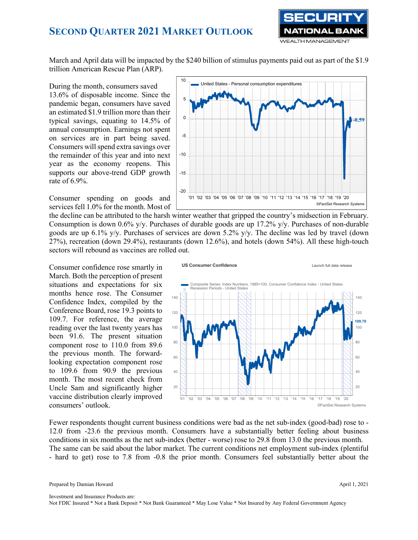

March and April data will be impacted by the \$240 billion of stimulus payments paid out as part of the \$1.9 trillion American Rescue Plan (ARP).

During the month, consumers saved 13.6% of disposable income. Since the pandemic began, consumers have saved an estimated \$1.9 trillion more than their typical savings, equating to 14.5% of annual consumption. Earnings not spent on services are in part being saved. Consumers will spend extra savings over the remainder of this year and into next year as the economy reopens. This supports our above-trend GDP growth rate of 6.9%.

Consumer spending on goods and services fell 1.0% for the month. Most of



the decline can be attributed to the harsh winter weather that gripped the country's midsection in February. Consumption is down  $0.6\%$  y/y. Purchases of durable goods are up 17.2% y/y. Purchases of non-durable goods are up 6.1% y/y. Purchases of services are down 5.2% y/y. The decline was led by travel (down 27%), recreation (down 29.4%), restaurants (down 12.6%), and hotels (down 54%). All these high-touch sectors will rebound as vaccines are rolled out.

Consumer confidence rose smartly in March. Both the perception of present situations and expectations for six months hence rose. The Consumer Confidence Index, compiled by the Conference Board, rose 19.3 points to 109.7. For reference, the average reading over the last twenty years has been 91.6. The present situation component rose to 110.0 from 89.6 the previous month. The forwardlooking expectation component rose to 109.6 from 90.9 the previous month. The most recent check from Uncle Sam and significantly higher vaccine distribution clearly improved consumers' outlook.



Fewer respondents thought current business conditions were bad as the net sub-index (good-bad) rose to - 12.0 from -23.6 the previous month. Consumers have a substantially better feeling about business conditions in six months as the net sub-index (better - worse) rose to 29.8 from 13.0 the previous month. The same can be said about the labor market. The current conditions net employment sub-index (plentiful - hard to get) rose to 7.8 from -0.8 the prior month. Consumers feel substantially better about the

Investment and Insurance Products are: Not FDIC Insured \* Not a Bank Deposit \* Not Bank Guaranteed \* May Lose Value \* Not Insured by Any Federal Government Agency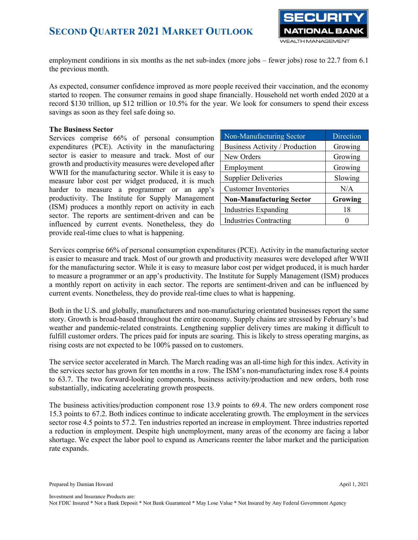

employment conditions in six months as the net sub-index (more jobs – fewer jobs) rose to 22.7 from 6.1 the previous month.

As expected, consumer confidence improved as more people received their vaccination, and the economy started to reopen. The consumer remains in good shape financially. Household net worth ended 2020 at a record \$130 trillion, up \$12 trillion or 10.5% for the year. We look for consumers to spend their excess savings as soon as they feel safe doing so.

### **The Business Sector**

Services comprise 66% of personal consumption expenditures (PCE). Activity in the manufacturing sector is easier to measure and track. Most of our growth and productivity measures were developed after WWII for the manufacturing sector. While it is easy to measure labor cost per widget produced, it is much harder to measure a programmer or an app's productivity. The Institute for Supply Management (ISM) produces a monthly report on activity in each sector. The reports are sentiment-driven and can be influenced by current events. Nonetheless, they do provide real-time clues to what is happening.

| Non-Manufacturing Sector        | Direction |
|---------------------------------|-----------|
| Business Activity / Production  | Growing   |
| New Orders                      | Growing   |
| Employment                      | Growing   |
| <b>Supplier Deliveries</b>      | Slowing   |
| <b>Customer Inventories</b>     | N/A       |
| <b>Non-Manufacturing Sector</b> | Growing   |
| <b>Industries Expanding</b>     | 18        |
| <b>Industries Contracting</b>   |           |

Services comprise 66% of personal consumption expenditures (PCE). Activity in the manufacturing sector is easier to measure and track. Most of our growth and productivity measures were developed after WWII for the manufacturing sector. While it is easy to measure labor cost per widget produced, it is much harder to measure a programmer or an app's productivity. The Institute for Supply Management (ISM) produces a monthly report on activity in each sector. The reports are sentiment-driven and can be influenced by current events. Nonetheless, they do provide real-time clues to what is happening.

Both in the U.S. and globally, manufacturers and non-manufacturing orientated businesses report the same story. Growth is broad-based throughout the entire economy. Supply chains are stressed by February's bad weather and pandemic-related constraints. Lengthening supplier delivery times are making it difficult to fulfill customer orders. The prices paid for inputs are soaring. This is likely to stress operating margins, as rising costs are not expected to be 100% passed on to customers.

The service sector accelerated in March. The March reading was an all-time high for this index. Activity in the services sector has grown for ten months in a row. The ISM's non-manufacturing index rose 8.4 points to 63.7. The two forward-looking components, business activity/production and new orders, both rose substantially, indicating accelerating growth prospects.

The business activities/production component rose 13.9 points to 69.4. The new orders component rose 15.3 points to 67.2. Both indices continue to indicate accelerating growth. The employment in the services sector rose 4.5 points to 57.2. Ten industries reported an increase in employment. Three industries reported a reduction in employment. Despite high unemployment, many areas of the economy are facing a labor shortage. We expect the labor pool to expand as Americans reenter the labor market and the participation rate expands.

Prepared by Damian Howard April 1, 2021

Investment and Insurance Products are: Not FDIC Insured \* Not a Bank Deposit \* Not Bank Guaranteed \* May Lose Value \* Not Insured by Any Federal Government Agency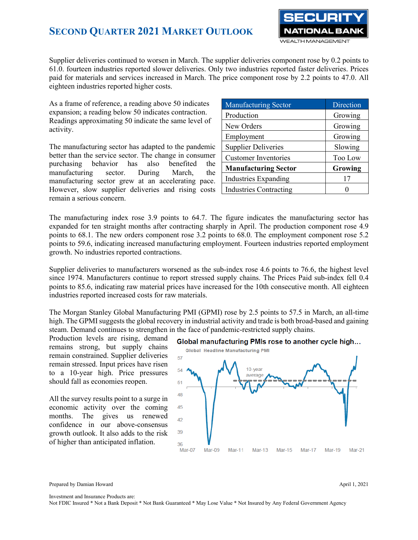

Supplier deliveries continued to worsen in March. The supplier deliveries component rose by 0.2 points to 61.0. fourteen industries reported slower deliveries. Only two industries reported faster deliveries. Prices paid for materials and services increased in March. The price component rose by 2.2 points to 47.0. All eighteen industries reported higher costs.

As a frame of reference, a reading above 50 indicates expansion; a reading below 50 indicates contraction. Readings approximating 50 indicate the same level of activity.

The manufacturing sector has adapted to the pandemic better than the service sector. The change in consumer purchasing behavior has also benefited the manufacturing sector. During March, the manufacturing sector grew at an accelerating pace. However, slow supplier deliveries and rising costs remain a serious concern.

| <b>Manufacturing Sector</b>   | Direction |  |  |
|-------------------------------|-----------|--|--|
| Production                    | Growing   |  |  |
| New Orders                    | Growing   |  |  |
| Employment                    | Growing   |  |  |
| <b>Supplier Deliveries</b>    | Slowing   |  |  |
| <b>Customer Inventories</b>   | Too Low   |  |  |
| <b>Manufacturing Sector</b>   | Growing   |  |  |
| <b>Industries Expanding</b>   |           |  |  |
| <b>Industries Contracting</b> |           |  |  |

The manufacturing index rose 3.9 points to 64.7. The figure indicates the manufacturing sector has expanded for ten straight months after contracting sharply in April. The production component rose 4.9 points to 68.1. The new orders component rose 3.2 points to 68.0. The employment component rose 5.2 points to 59.6, indicating increased manufacturing employment. Fourteen industries reported employment growth. No industries reported contractions.

Supplier deliveries to manufacturers worsened as the sub-index rose 4.6 points to 76.6, the highest level since 1974. Manufacturers continue to report stressed supply chains. The Prices Paid sub-index fell 0.4 points to 85.6, indicating raw material prices have increased for the 10th consecutive month. All eighteen industries reported increased costs for raw materials.

The Morgan Stanley Global Manufacturing PMI (GPMI) rose by 2.5 points to 57.5 in March, an all-time high. The GPMI suggests the global recovery in industrial activity and trade is both broad-based and gaining steam. Demand continues to strengthen in the face of pandemic-restricted supply chains.

Production levels are rising, demand remains strong, but supply chains remain constrained. Supplier deliveries remain stressed. Input prices have risen to a 10-year high. Price pressures should fall as economies reopen.

All the survey results point to a surge in economic activity over the coming months. The gives us renewed confidence in our above-consensus growth outlook. It also adds to the risk of higher than anticipated inflation.





Prepared by Damian Howard April 1, 2021

Investment and Insurance Products are: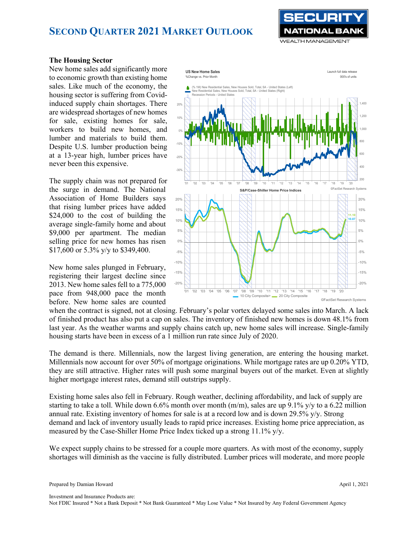

#### **The Housing Sector**

New home sales add significantly more to economic growth than existing home sales. Like much of the economy, the housing sector is suffering from Covidinduced supply chain shortages. There are widespread shortages of new homes for sale, existing homes for sale, workers to build new homes, and lumber and materials to build them. Despite U.S. lumber production being at a 13-year high, lumber prices have never been this expensive.

The supply chain was not prepared for the surge in demand. The National Association of Home Builders says that rising lumber prices have added \$24,000 to the cost of building the average single-family home and about \$9,000 per apartment. The median selling price for new homes has risen \$17,600 or 5.3% y/y to \$349,400.

New home sales plunged in February, registering their largest decline since 2013. New home sales fell to a 775,000 pace from 948,000 pace the month before. New home sales are counted



when the contract is signed, not at closing. February's polar vortex delayed some sales into March. A lack of finished product has also put a cap on sales. The inventory of finished new homes is down 48.1% from last year. As the weather warms and supply chains catch up, new home sales will increase. Single-family housing starts have been in excess of a 1 million run rate since July of 2020.

The demand is there. Millennials, now the largest living generation, are entering the housing market. Millennials now account for over 50% of mortgage originations. While mortgage rates are up 0.20% YTD, they are still attractive. Higher rates will push some marginal buyers out of the market. Even at slightly higher mortgage interest rates, demand still outstrips supply.

Existing home sales also fell in February. Rough weather, declining affordability, and lack of supply are starting to take a toll. While down 6.6% month over month (m/m), sales are up 9.1% y/y to a 6.22 million annual rate. Existing inventory of homes for sale is at a record low and is down 29.5% y/y. Strong demand and lack of inventory usually leads to rapid price increases. Existing home price appreciation, as measured by the Case-Shiller Home Price Index ticked up a strong 11.1% y/y.

We expect supply chains to be stressed for a couple more quarters. As with most of the economy, supply shortages will diminish as the vaccine is fully distributed. Lumber prices will moderate, and more people

Investment and Insurance Products are: